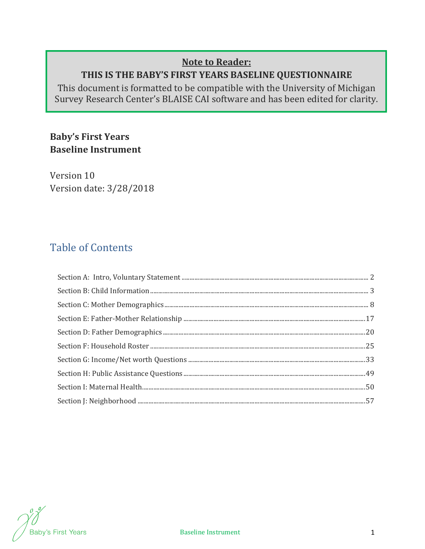# **Note to Reader:**

# **THIS IS THE BABY'S FIRST YEARS BASELINE QUESTIONNAIRE**

This document is formatted to be compatible with the University of Michigan Survey Research Center's BLAISE CAI software and has been edited for clarity.

# **Baby's First Years Baseline Instrument**

Version 10 Version date: 3/28/2018

# Table of Contents

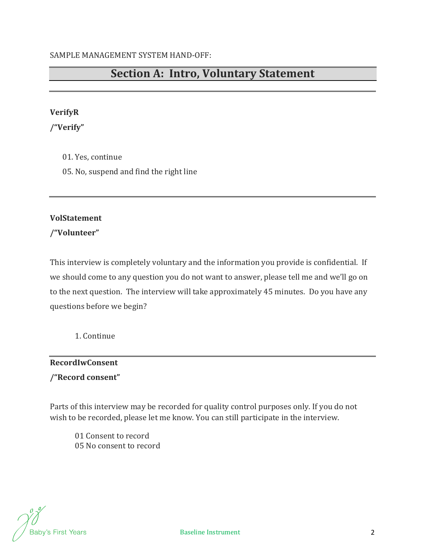# **Section A: Intro, Voluntary Statement**

## **VerifyR**

**/"Verify"**

- 01. Yes, continue
- 05. No, suspend and find the right line

## **VolStatement**

**/"Volunteer"**

This interview is completely voluntary and the information you provide is confidential. If we should come to any question you do not want to answer, please tell me and we'll go on to the next question. The interview will take approximately 45 minutes. Do you have any questions before we begin?

1. Continue

# **RecordIwConsent**

**/"Record consent"**

Parts of this interview may be recorded for quality control purposes only. If you do not wish to be recorded, please let me know. You can still participate in the interview.

01 Consent to record 05 No consent to record

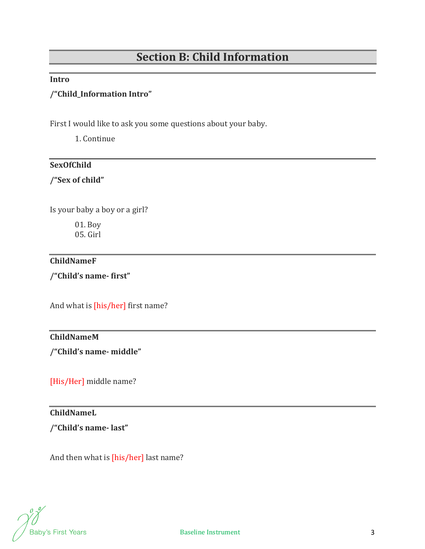# **Section B: Child Information**

#### **Intro**

# **/"Child\_Information Intro"**

First I would like to ask you some questions about your baby.

1. Continue

## **SexOfChild**

**/"Sex of child"**

Is your baby a boy or a girl?

01. Boy 05. Girl

## **ChildNameF**

**/"Child's name‐ first"**

And what is [his/her] first name?

# **ChildNameM**

**/"Child's name‐ middle"**

[His/Her] middle name?

# **ChildNameL**

**/"Child's name‐ last"**

And then what is [his/her] last name?

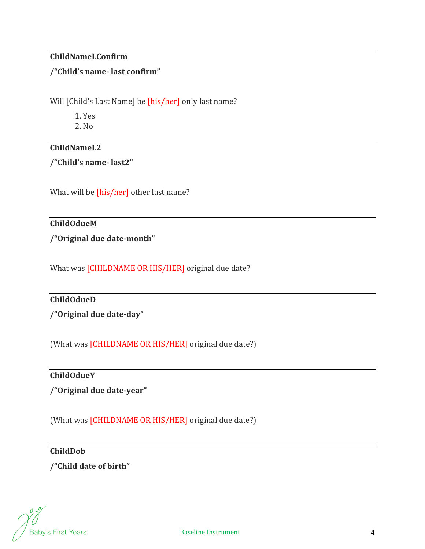## **ChildNameLConfirm**

## **/"Child's name‐ last confirm"**

Will [Child's Last Name] be [his/her] only last name?

1. Yes

2. No

# **ChildNameL2**

**/"Child's name‐ last2"**

What will be [his/her] other last name?

# **ChildOdueM**

**/"Original due date‐month"**

What was [CHILDNAME OR HIS/HER] original due date?

## **ChildOdueD**

**/"Original due date‐day"**

(What was [CHILDNAME OR HIS/HER] original due date?)

# **ChildOdueY**

**/"Original due date‐year"**

(What was **[CHILDNAME OR HIS/HER]** original due date?)

# **ChildDob**

**/"Child date of birth"**

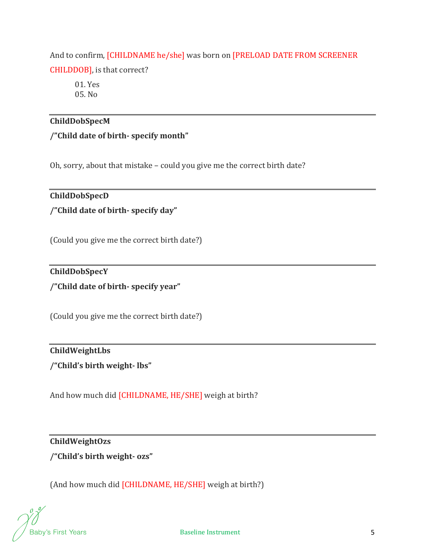And to confirm, [CHILDNAME he/she] was born on [PRELOAD DATE FROM SCREENER CHILDDOB], is that correct?

01. Yes 05. No

# **ChildDobSpecM**

**/"Child date of birth‐ specify month"**

Oh, sorry, about that mistake – could you give me the correct birth date?

## **ChildDobSpecD**

**/"Child date of birth‐ specify day"**

(Could you give me the correct birth date?)

# **ChildDobSpecY**

**/"Child date of birth‐ specify year"**

(Could you give me the correct birth date?)

# **ChildWeightLbs /"Child's birth weight‐ lbs"**

And how much did [CHILDNAME, HE/SHE] weigh at birth?

## **ChildWeightOzs**

**/"Child's birth weight‐ ozs"**

(And how much did [CHILDNAME, HE/SHE] weigh at birth?)

Baby's First Years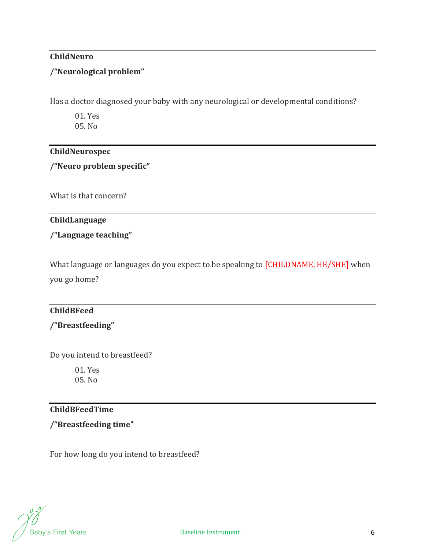## **ChildNeuro**

## **/"Neurological problem"**

Has a doctor diagnosed your baby with any neurological or developmental conditions?

01. Yes 05. No

## **ChildNeurospec**

**/"Neuro problem specific"**

What is that concern?

# **ChildLanguage**

# **/"Language teaching"**

What language or languages do you expect to be speaking to [CHILDNAME, HE/SHE] when you go home?

# **ChildBFeed**

# **/"Breastfeeding"**

Do you intend to breastfeed?

01. Yes 05. No

# **ChildBFeedTime**

# **/"Breastfeeding time"**

For how long do you intend to breastfeed?

**Baby's First Years**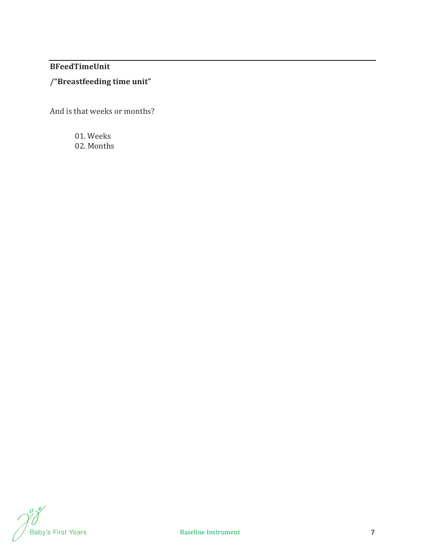# **BFeedTimeUnit**

# **/"Breastfeeding time unit"**

And is that weeks or months?

01. Weeks 02. Months

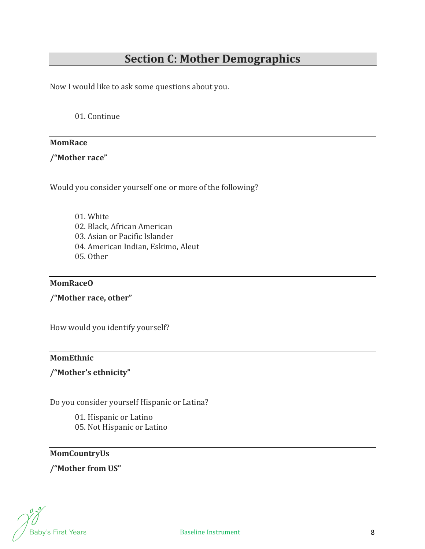# **Section C: Mother Demographics**

Now I would like to ask some questions about you.

01. Continue

#### **MomRace**

**/"Mother race"**

Would you consider yourself one or more of the following?

01. White 02. Black, African American 03. Asian or Pacific Islander 04. American Indian, Eskimo, Aleut 05. Other

#### **MomRaceO**

**/"Mother race, other"**

How would you identify yourself?

#### **MomEthnic**

## **/"Mother's ethnicity"**

Do you consider yourself Hispanic or Latina?

01. Hispanic or Latino 05. Not Hispanic or Latino

#### **MomCountryUs**

**/"Mother from US"**

**Baby's First Years**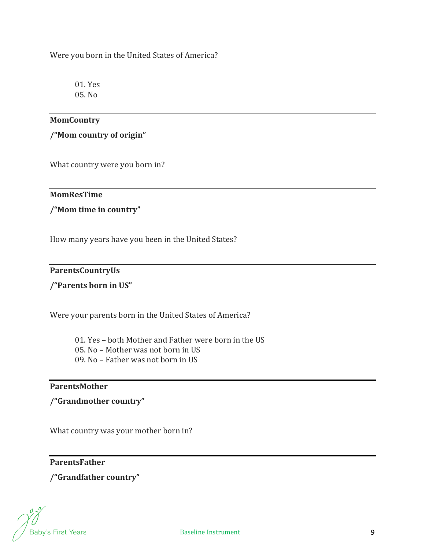Were you born in the United States of America?

01. Yes 05. No

## **MomCountry**

**/"Mom country of origin"**

What country were you born in?

**MomResTime** 

**/"Mom time in country"**

How many years have you been in the United States?

## **ParentsCountryUs**

#### **/"Parents born in US"**

Were your parents born in the United States of America?

- 01. Yes both Mother and Father were born in the US
- 05. No Mother was not born in US
- 09. No Father was not born in US

#### **ParentsMother**

**/"Grandmother country"**

What country was your mother born in?

## **ParentsFather**

**/"Grandfather country"**

Baby's First Years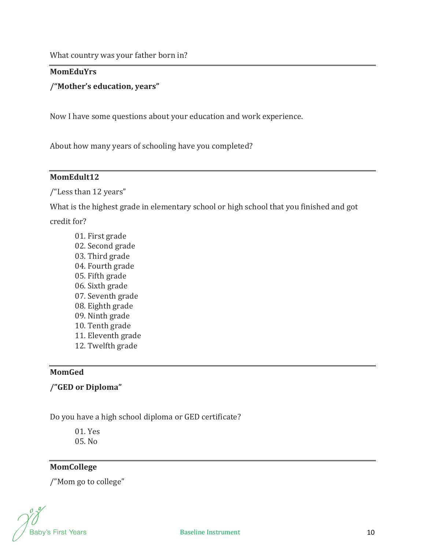#### **MomEduYrs**

#### **/"Mother's education, years"**

Now I have some questions about your education and work experience.

About how many years of schooling have you completed?

#### **MomEdult12**

/"Less than 12 years"

What is the highest grade in elementary school or high school that you finished and got credit for?

01. First grade 02. Second grade 03. Third grade 04. Fourth grade 05. Fifth grade 06. Sixth grade 07. Seventh grade 08. Eighth grade 09. Ninth grade 10. Tenth grade 11. Eleventh grade 12. Twelfth grade

# **MomGed**

**/"GED or Diploma"**

Do you have a high school diploma or GED certificate?

01. Yes 05. No

# **MomCollege**

/"Mom go to college"

Baby's First Years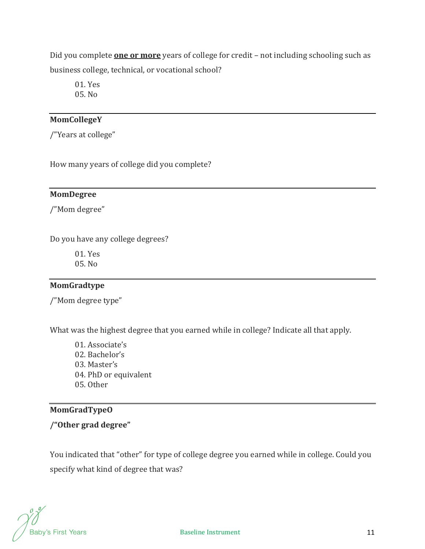Did you complete **one or more** years of college for credit – not including schooling such as business college, technical, or vocational school?

01. Yes 05. No

## **MomCollegeY**

/"Years at college"

How many years of college did you complete?

#### **MomDegree**

/"Mom degree"

Do you have any college degrees?

01. Yes 05. No

## **MomGradtype**

/"Mom degree type"

What was the highest degree that you earned while in college? Indicate all that apply.

01. Associate's 02. Bachelor's 03. Master's 04. PhD or equivalent 05. Other

# **MomGradTypeO**

**/"Other grad degree"**

You indicated that "other" for type of college degree you earned while in college. Could you specify what kind of degree that was?

Baby's First Years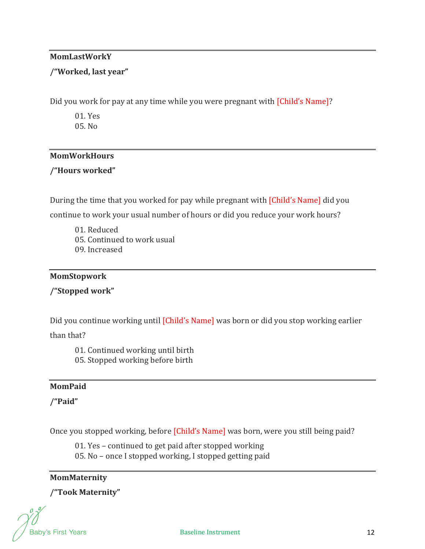## **MomLastWorkY**

# **/"Worked, last year"**

Did you work for pay at any time while you were pregnant with [Child's Name]?

01. Yes 05. No

# **MomWorkHours**

# **/"Hours worked"**

During the time that you worked for pay while pregnant with [Child's Name] did you continue to work your usual number of hours or did you reduce your work hours?

01. Reduced

05. Continued to work usual

09. Increased

#### **MomStopwork**

**/"Stopped work"**

Did you continue working until [Child's Name] was born or did you stop working earlier

than that?

- 01. Continued working until birth
- 05. Stopped working before birth

## **MomPaid**

**/"Paid"**

Once you stopped working, before [Child's Name] was born, were you still being paid?

01. Yes – continued to get paid after stopped working

05. No – once I stopped working, I stopped getting paid

## **MomMaternity**

**/"Took Maternity"**

**Baby's First Years**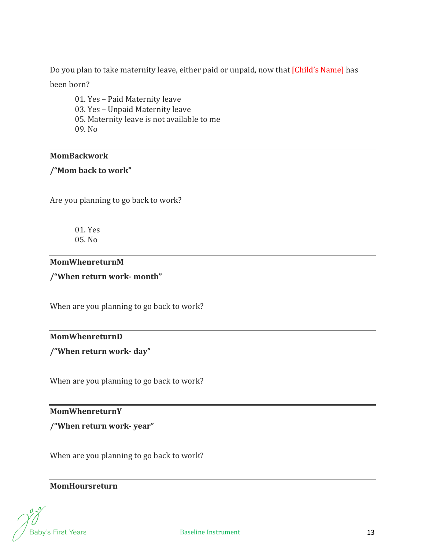Do you plan to take maternity leave, either paid or unpaid, now that [Child's Name] has

been born?

01. Yes – Paid Maternity leave 03. Yes – Unpaid Maternity leave 05. Maternity leave is not available to me 09. No

#### **MomBackwork**

## **/"Mom back to work"**

Are you planning to go back to work?

01. Yes 05. No

#### **MomWhenreturnM**

**/"When return work‐ month"**

When are you planning to go back to work?

## **MomWhenreturnD**

**/"When return work‐ day"**

When are you planning to go back to work?

## **MomWhenreturnY**

**/"When return work‐ year"**

When are you planning to go back to work?

# **MomHoursreturn**

**Baby's First Years**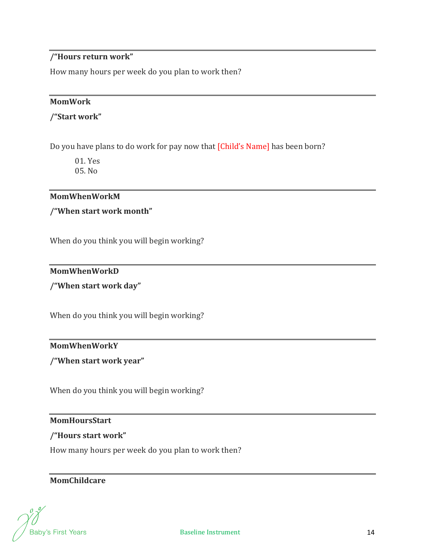# **/"Hours return work"**

How many hours per week do you plan to work then?

#### **MomWork**

#### **/"Start work"**

Do you have plans to do work for pay now that [Child's Name] has been born?

01. Yes 05. No

#### **MomWhenWorkM**

#### **/"When start work month"**

When do you think you will begin working?

#### **MomWhenWorkD**

#### **/"When start work day"**

When do you think you will begin working?

## **MomWhenWorkY**

**/"When start work year"**

When do you think you will begin working?

#### **MomHoursStart**

#### **/"Hours start work"**

How many hours per week do you plan to work then?

## **MomChildcare**

**Baby's First Years**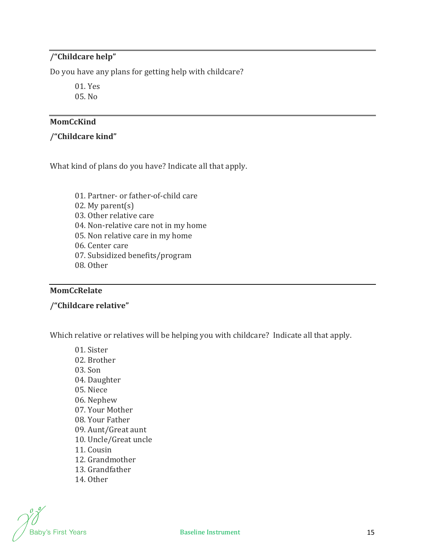# **/"Childcare help"**

Do you have any plans for getting help with childcare?

01. Yes 05. No

#### **MomCcKind**

#### **/"Childcare kind"**

What kind of plans do you have? Indicate all that apply.

- 01. Partner- or father-of-child care
- 02. My parent(s)
- 03. Other relative care
- 04. Non-relative care not in my home
- 05. Non relative care in my home
- 06. Center care
- 07. Subsidized benefits/program
- 08. Other

# **MomCcRelate**

**/"Childcare relative"**

Which relative or relatives will be helping you with childcare? Indicate all that apply.

01. Sister 02. Brother 03. Son 04. Daughter 05. Niece 06. Nephew 07. Your Mother 08. Your Father 09. Aunt/Great aunt 10. Uncle/Great uncle 11. Cousin 12. Grandmother 13. Grandfather 14. Other

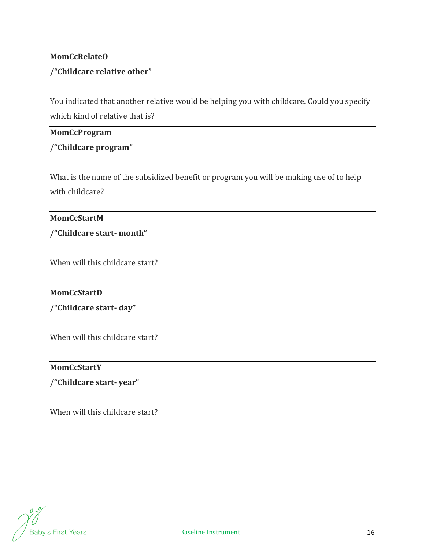# **MomCcRelateO /"Childcare relative other"**

You indicated that another relative would be helping you with childcare. Could you specify which kind of relative that is?

#### **MomCcProgram**

# **/"Childcare program"**

What is the name of the subsidized benefit or program you will be making use of to help with childcare?

## **MomCcStartM**

**/"Childcare start‐ month"**

When will this childcare start?

## **MomCcStartD**

**/"Childcare start‐ day"**

When will this childcare start?

# **MomCcStartY**

**/"Childcare start‐ year"**

When will this childcare start?

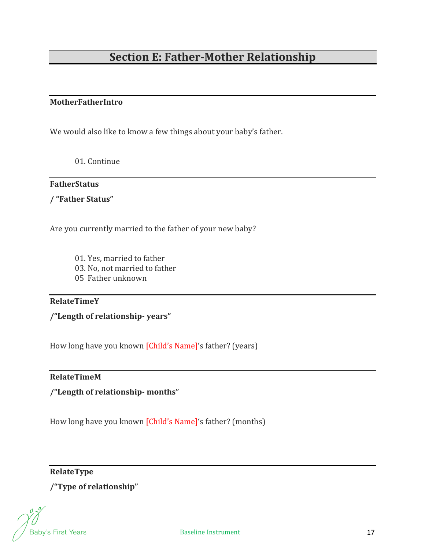# **Section E: Father‐Mother Relationship**

#### **MotherFatherIntro**

We would also like to know a few things about your baby's father.

01. Continue

## **FatherStatus**

**/ "Father Status"**

Are you currently married to the father of your new baby?

- 01. Yes, married to father
- 03. No, not married to father
- 05 Father unknown

#### **RelateTimeY**

**/"Length of relationship‐ years"**

How long have you known [Child's Name]'s father? (years)

#### **RelateTimeM**

**/"Length of relationship‐ months"**

How long have you known [Child's Name]'s father? (months)

**RelateType** 

**/"Type of relationship"**

Baby's First Years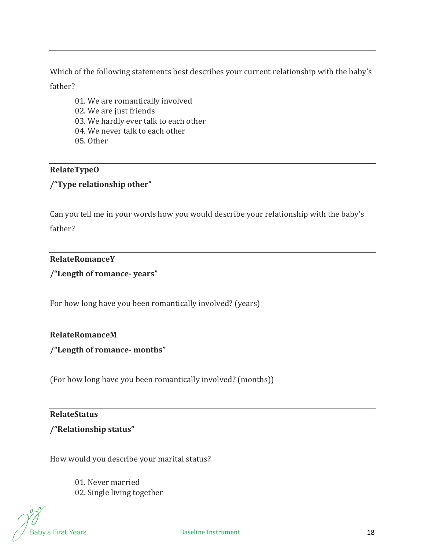Which of the following statements best describes your current relationship with the baby's father?

- 01. We are romantically involved 02. We are just friends 03. We hardly ever talk to each other
- 04. We never talk to each other
- 05. Other

## **RelateTypeO**

# **/"Type relationship other"**

Can you tell me in your words how you would describe your relationship with the baby's father?

#### **RelateRomanceY**

**/"Length of romance‐ years"**

For how long have you been romantically involved? (years)

#### **RelateRomanceM**

**/"Length of romance‐ months"**

(For how long have you been romantically involved? (months))

# **RelateStatus**

#### **/"Relationship status"**

How would you describe your marital status?

01. Never married 02. Single living together

Baby's First Years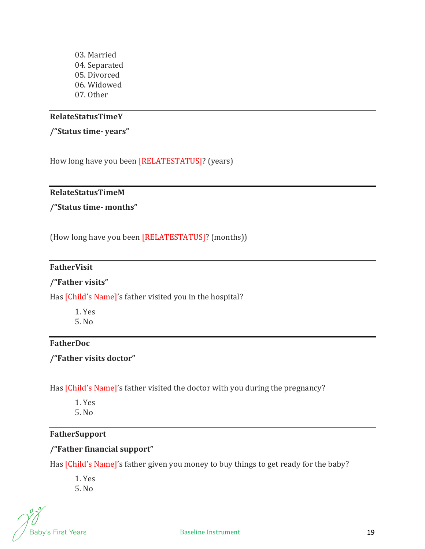03. Married 04. Separated 05. Divorced 06. Widowed 07. Other

#### **RelateStatusTimeY**

#### **/"Status time‐ years"**

How long have you been [RELATESTATUS]? (years)

## **RelateStatusTimeM**

**/"Status time‐ months"**

(How long have you been [RELATESTATUS]? (months))

#### **FatherVisit**

#### **/"Father visits"**

Has [Child's Name]'s father visited you in the hospital?

1. Yes 5. No

#### **FatherDoc**

**/"Father visits doctor"**

Has [Child's Name]'s father visited the doctor with you during the pregnancy?

- 1. Yes
- 5. No

# **FatherSupport**

# **/"Father financial support"**

Has *[Child's Name]'s father given you money to buy things to get ready for the baby?* 

1. Yes 5. No

Baby's First Years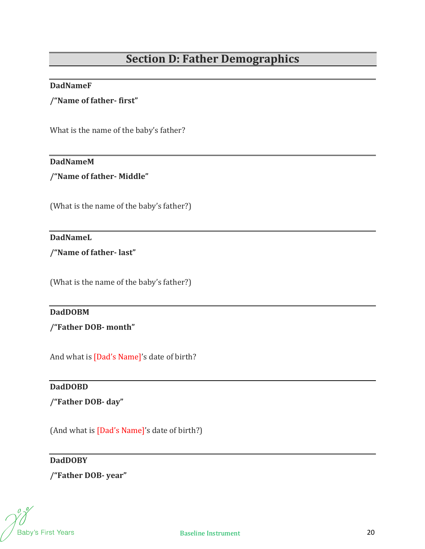# **Section D: Father Demographics**

#### **DadNameF**

**/"Name of father‐ first"**

What is the name of the baby's father?

## **DadNameM**

**/"Name of father‐ Middle"**

(What is the name of the baby's father?)

## **DadNameL**

**/"Name of father‐ last"**

(What is the name of the baby's father?)

#### $\textbf{D}$ **adDOBM**

**/"Father DOB‐ month"**

And what is [Dad's Name]'s date of birth?

#### **DadDOBD**

**/"Father DOB‐ day"**

(And what is [Dad's Name]'s date of birth?)

#### **DadDOBY**

**/"Father DOB‐ year"**

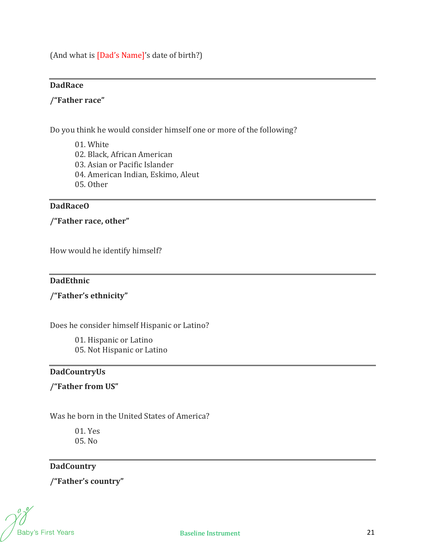(And what is [Dad's Name]'s date of birth?)

# DadRace

#### **/"Father race"**

Do you think he would consider himself one or more of the following?

- 01. White
- 02. Black, African American
- 03. Asian or Pacific Islander
- 04. American Indian, Eskimo, Aleut
- 05. Other

#### **DadRaceO**

**/"Father race, other"**

How would he identify himself?

#### **DadEthnic**

# **/"Father's ethnicity"**

Does he consider himself Hispanic or Latino?

01. Hispanic or Latino 05. Not Hispanic or Latino

# **DadCountryUs**

**/"Father from US"**

Was he born in the United States of America?

01. Yes 05. No

# **DadCountry**

**/"Father's country"**

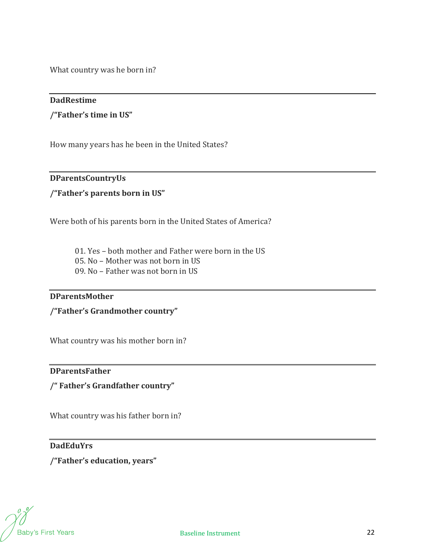What country was he born in?

#### **DadRestime**

**/"Father's time in US"**

How many years has he been in the United States?

#### **DParentsCountryUs**

#### **/"Father's parents born in US"**

Were both of his parents born in the United States of America?

- 01. Yes both mother and Father were born in the US
- 05. No Mother was not born in US
- 09. No Father was not born in US

#### **DParentsMother**

**/"Father's Grandmother country"**

What country was his mother born in?

## **DParentsFather**

**/" Father's Grandfather country"**

What country was his father born in?

#### **DadEduYrs**

**/"Father's education, years"**

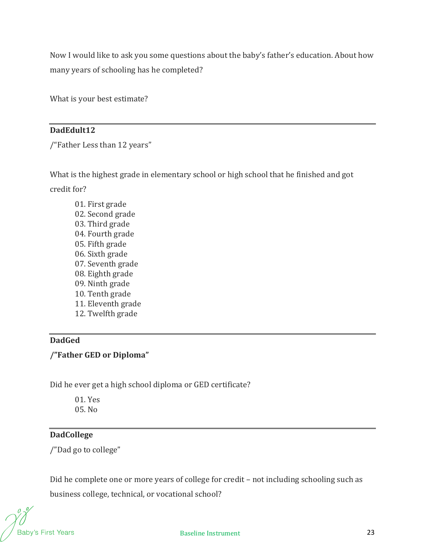Now I would like to ask you some questions about the baby's father's education. About how many years of schooling has he completed?

What is your best estimate?

#### **DadEdult12**

/"Father Less than 12 years"

What is the highest grade in elementary school or high school that he finished and got credit for?

01. First grade 02. Second grade 03. Third grade 04. Fourth grade 05. Fifth grade 06. Sixth grade 07. Seventh grade 08. Eighth grade 09. Ninth grade 10. Tenth grade 11. Eleventh grade 12. Twelfth grade

# DadGed

**/"Father GED or Diploma"**

Did he ever get a high school diploma or GED certificate?

01. Yes 05. No

## **DadCollege**

/"Dad go to college"

Did he complete one or more years of college for credit – not including schooling such as business college, technical, or vocational school?

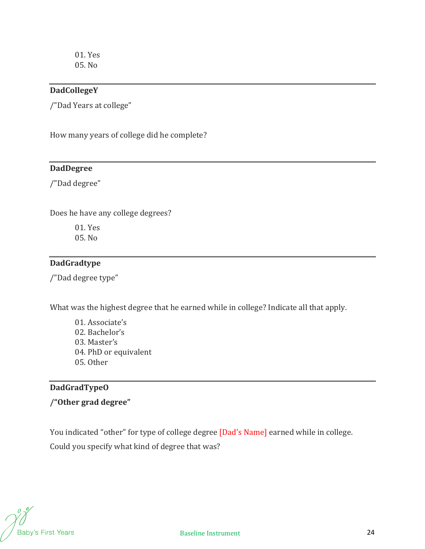01. Yes 05. No

#### **DadCollegeY**

/"Dad Years at college"

How many years of college did he complete?

## **DadDegree**

/"Dad degree"

Does he have any college degrees?

01. Yes 05. No

# **DadGradtype**

/"Dad degree type"

What was the highest degree that he earned while in college? Indicate all that apply.

01. Associate's 02. Bachelor's 03. Master's 04. PhD or equivalent 05. Other

# **DadGradTypeO**

**/"Other grad degree"**

You indicated "other" for type of college degree [Dad's Name] earned while in college. Could you specify what kind of degree that was?

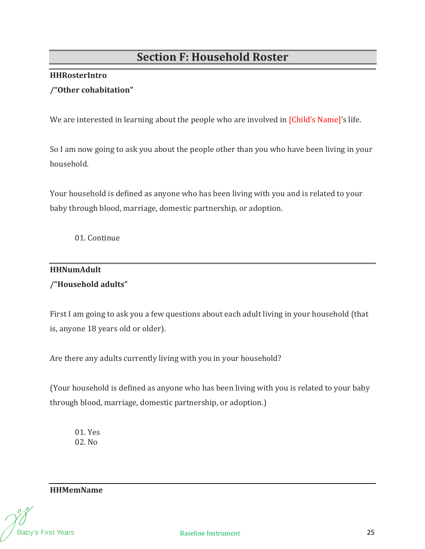# **Section F: Household Roster**

## **HHRosterIntro**

# **/"Other cohabitation"**

We are interested in learning about the people who are involved in *[Child's Name]'s life.* 

So I am now going to ask you about the people other than you who have been living in your household.

Your household is defined as anyone who has been living with you and is related to your baby through blood, marriage, domestic partnership, or adoption.

01. Continue

# **HHNumAdult /"Household adults"**

First I am going to ask you a few questions about each adult living in your household (that is, anyone 18 years old or older).

Are there any adults currently living with you in your household?

(Your household is defined as anyone who has been living with you is related to your baby through blood, marriage, domestic partnership, or adoption.)

01. Yes 02. No

**HHMemName** 

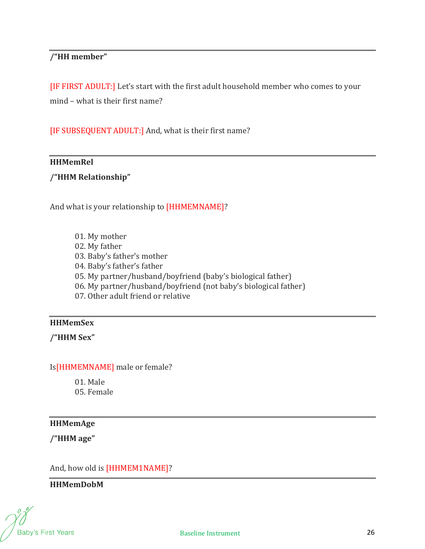# **/"HH member"**

[IF FIRST ADULT:] Let's start with the first adult household member who comes to your mind – what is their first name?

[IF SUBSEQUENT ADULT:] And, what is their first name?

#### **HHMemRel**

## **/"HHM Relationship"**

And what is your relationship to [HHMEMNAME]?

01. My mother 02. My father 03. Baby's father's mother 04. Baby's father's father 05. My partner/husband/boyfriend (baby's biological father) 06. My partner/husband/boyfriend (not baby's biological father) 07. Other adult friend or relative

## **HHMemSex**

**/"HHM Sex"**

Is[HHMEMNAME] male or female?

01. Male 05. Female

#### **HHMemAge**

**/"HHM age"**

And, how old is [HHMEM1NAME]?

**HHMemDobM**

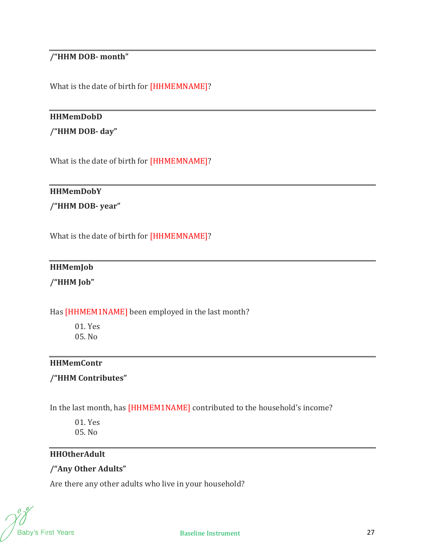# **/"HHM DOB‐ month"**

What is the date of birth for [HHMEMNAME]?

#### **HHMemDobD**

**/"HHM DOB‐ day"**

What is the date of birth for [HHMEMNAME]?

#### **HHMemDobY**

**/"HHM DOB‐ year"**

What is the date of birth for [HHMEMNAME]?

## **HHMemJob**

**/"HHM Job"**

## Has [HHMEM1NAME] been employed in the last month?

01. Yes 05. No

#### **HHMemContr**

#### **/"HHM Contributes"**

In the last month, has [HHMEM1NAME] contributed to the household's income?

01. Yes 05. No

## **HHOtherAdult**

# **/"Any Other Adults"**

Are there any other adults who live in your household?

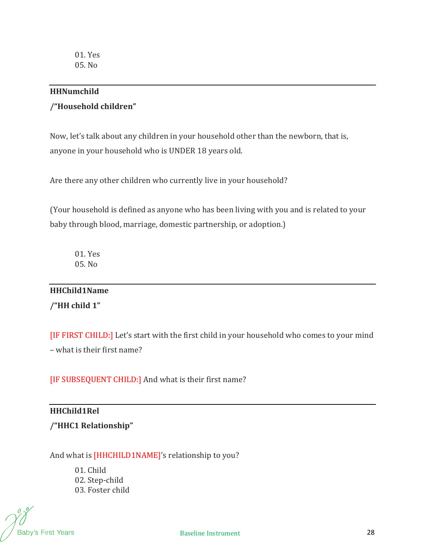#### **HHNumchild**

# **/"Household children"**

Now, let's talk about any children in your household other than the newborn, that is, anyone in your household who is UNDER 18 years old.

Are there any other children who currently live in your household?

(Your household is defined as anyone who has been living with you and is related to your baby through blood, marriage, domestic partnership, or adoption.)

01. Yes 05. No

# **HHChild1Name**

**/"HH child 1"**

[IF FIRST CHILD:] Let's start with the first child in your household who comes to your mind – what is their first name?

[IF SUBSEQUENT CHILD:] And what is their first name?

## **HHChild1Rel**

**/"HHC1 Relationship"**

And what is [HHCHILD1NAME]'s relationship to you?

01. Child 02. Step-child 03. Foster child

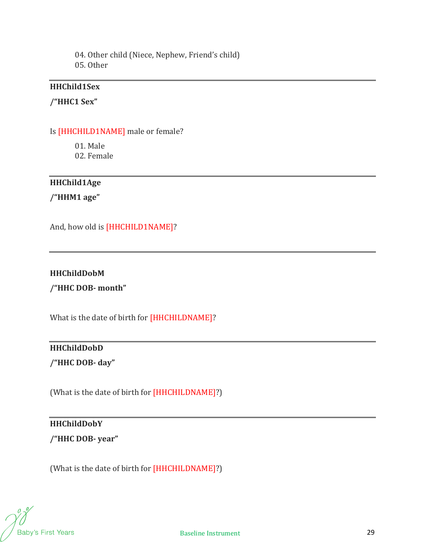04. Other child (Niece, Nephew, Friend's child) 05. Other

#### **HHChild1Sex**

#### **/"HHC1 Sex"**

#### Is [HHCHILD1NAME] male or female?

01. Male

02. Female

# **HHChild1Age**

**/"HHM1 age"**

And, how old is [HHCHILD1NAME]?

#### **HHChildDobM**

**/"HHC DOB‐ month"**

What is the date of birth for [HHCHILDNAME]?

# **HHChildDobD /"HHC DOB‐ day"**

(What is the date of birth for [HHCHILDNAME]?)

## **HHChildDobY**

**/"HHC DOB‐ year"**

(What is the date of birth for [HHCHILDNAME]?)

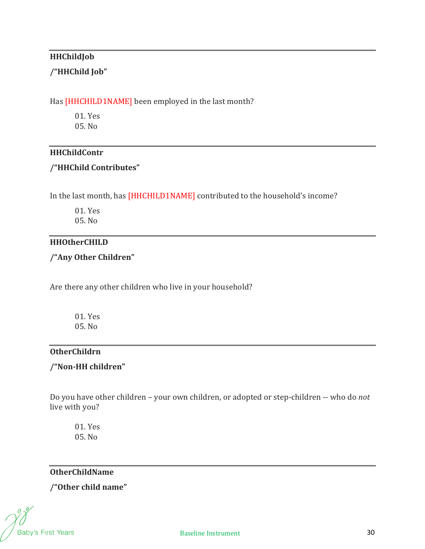# **HHChildJob**

# **/"HHChild Job"**

#### Has [HHCHILD1NAME] been employed in the last month?

01. Yes 05. No

#### **HHChildContr**

#### **/"HHChild Contributes"**

In the last month, has [HHCHILD1NAME] contributed to the household's income?

01. Yes 05. No

#### **HHOtherCHILD**

**/"Any Other Children"**

Are there any other children who live in your household?

01. Yes 05. No

# **OtherChildrn**

# **/"Non‐HH children"**

Do you have other children – your own children, or adopted or step-children -- who do *not* live with you?

01. Yes 05. No

**OtherChildName**

**/"Other child name"**

**Baby's First Years**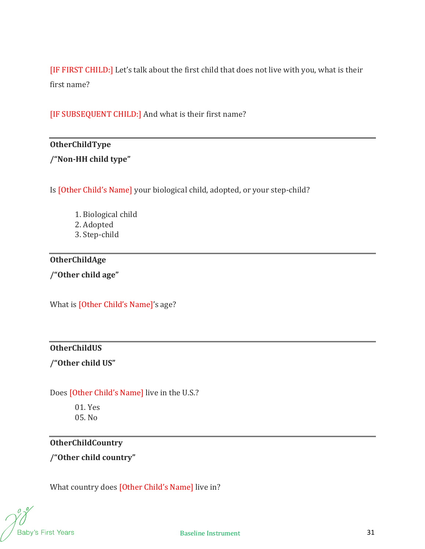[IF FIRST CHILD:] Let's talk about the first child that does not live with you, what is their first name?

[IF SUBSEQUENT CHILD:] And what is their first name?

## **OtherChildType**

**/"Non‐HH child type"**

Is [Other Child's Name] your biological child, adopted, or your step-child?

1. Biological child 2. Adopted 3. Step-child

## **OtherChildAge**

**/"Other child age"**

What is [Other Child's Name]'s age?

## **OtherChildUS**

**/"Other child US"**

# Does [Other Child's Name] live in the U.S.?

01. Yes 05. No

# **OtherChildCountry**

**/"Other child country"**

What country does [Other Child's Name] live in?

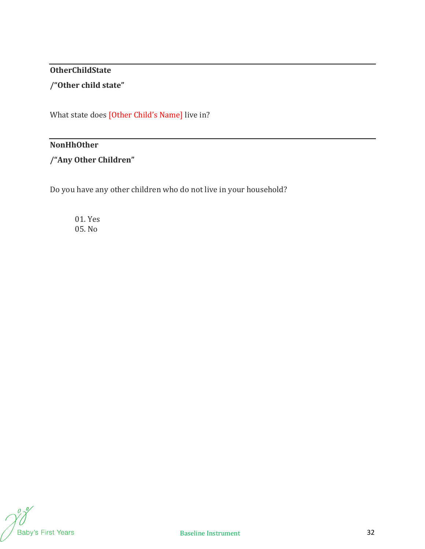# **OtherChildState /"Other child state"**

What state does [Other Child's Name] live in?

#### **NonHhOther**

**/"Any Other Children"**

Do you have any other children who do not live in your household?

01. Yes 05. No

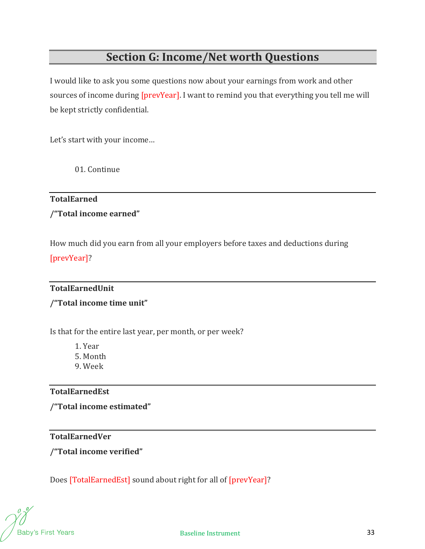# **Section G: Income/Net worth Questions**

I would like to ask you some questions now about your earnings from work and other sources of income during [prevYear]. I want to remind you that everything you tell me will be kept strictly confidential.

Let's start with your income…

01. Continue

# **TotalEarned**

**/"Total income earned"**

How much did you earn from all your employers before taxes and deductions during [prevYear]?

## **TotalEarnedUnit**

# **/"Total income time unit"**

Is that for the entire last year, per month, or per week?

1. Year

5. Month

9. Week

## **TotalEarnedEst**

**/"Total income estimated"**

## **TotalEarnedVer**

**/"Total income verified"**

Does [TotalEarnedEst] sound about right for all of [prevYear]?

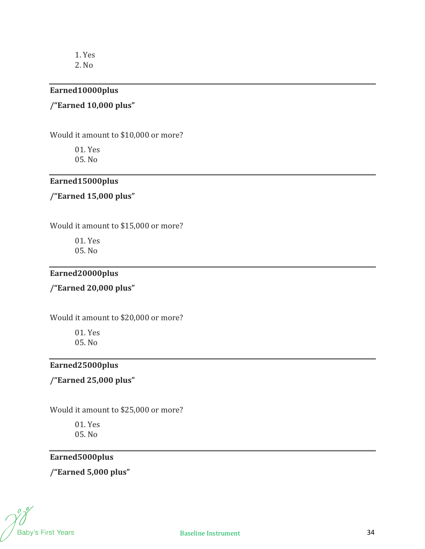1. Yes

2. No

#### **Earned10000plus**

## **/"Earned 10,000 plus"**

Would it amount to \$10,000 or more?

01. Yes 05. No

# **Earned15000plus**

# **/"Earned 15,000 plus"**

Would it amount to \$15,000 or more?

01. Yes 05. No

## **Earned20000plus**

**/"Earned 20,000 plus"**

Would it amount to \$20,000 or more?

01. Yes 05. No

# **Earned25000plus**

**/"Earned 25,000 plus"**

Would it amount to \$25,000 or more?

01. Yes 05. No

# **Earned5000plus**

**/"Earned 5,000 plus"**

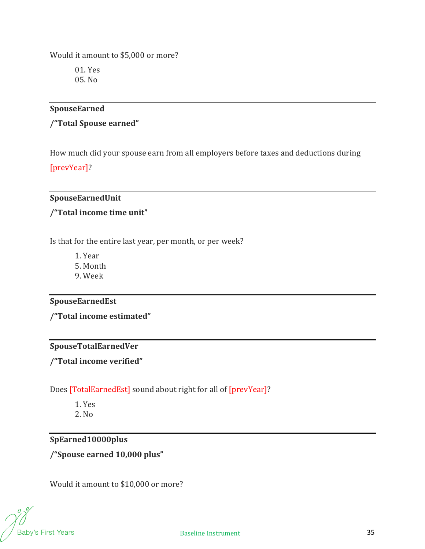Would it amount to \$5,000 or more?

01. Yes 05. No

## **SpouseEarned**

# **/"Total Spouse earned"**

How much did your spouse earn from all employers before taxes and deductions during

[prevYear]?

# **SpouseEarnedUnit**

## **/"Total income time unit"**

Is that for the entire last year, per month, or per week?

1. Year

5. Month

9. Week

# **SpouseEarnedEst**

**/"Total income estimated"**

# **SpouseTotalEarnedVer**

**/"Total income verified"**

Does [TotalEarnedEst] sound about right for all of [prevYear]?

1. Yes 2. No

## **SpEarned10000plus**

**/"Spouse earned 10,000 plus"**

Would it amount to \$10,000 or more?

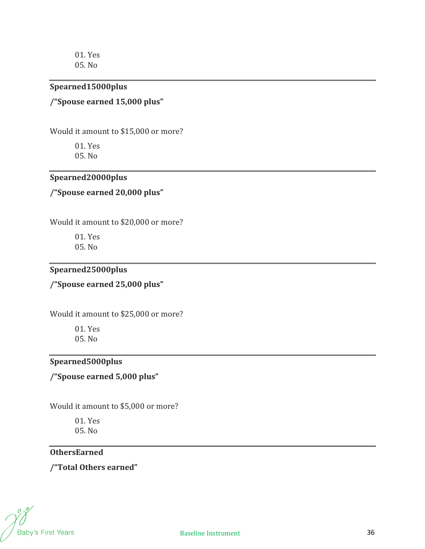01. Yes 05. No

#### **Spearned15000plus**

## **/"Spouse earned 15,000 plus"**

Would it amount to \$15,000 or more?

01. Yes 05. No

## **Spearned20000plus**

**/"Spouse earned 20,000 plus"**

Would it amount to \$20,000 or more?

01. Yes 05. No

# **Spearned25000plus**

**/"Spouse earned 25,000 plus"**

Would it amount to \$25,000 or more?

01. Yes 05. No

# **Spearned5000plus**

# **/"Spouse earned 5,000 plus"**

Would it amount to \$5,000 or more?

01. Yes 05. No

#### **OthersEarned**

**/"Total Others earned"**

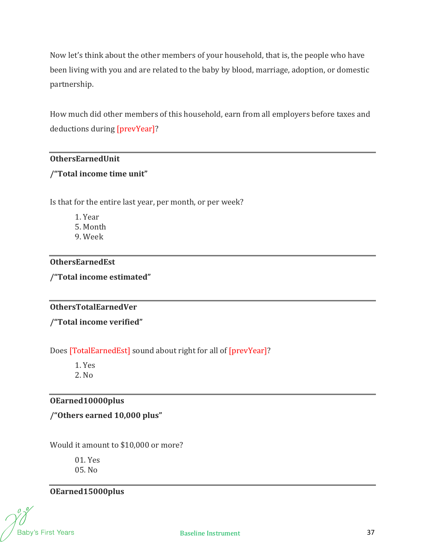Now let's think about the other members of your household, that is, the people who have been living with you and are related to the baby by blood, marriage, adoption, or domestic partnership.

How much did other members of this household, earn from all employers before taxes and deductions during [prevYear]?

#### **OthersEarnedUnit**

## **/"Total income time unit"**

Is that for the entire last year, per month, or per week?

1. Year 5. Month 9. Week

## **OthersEarnedEst**

**/"Total income estimated"**

## **OthersTotalEarnedVer**

**/"Total income verified"**

Does [TotalEarnedEst] sound about right for all of [prevYear]?

1. Yes 2. No

## **OEarned10000plus**

**/"Others earned 10,000 plus"**

Would it amount to \$10,000 or more?

01. Yes 05. No

# **OEarned15000plus**

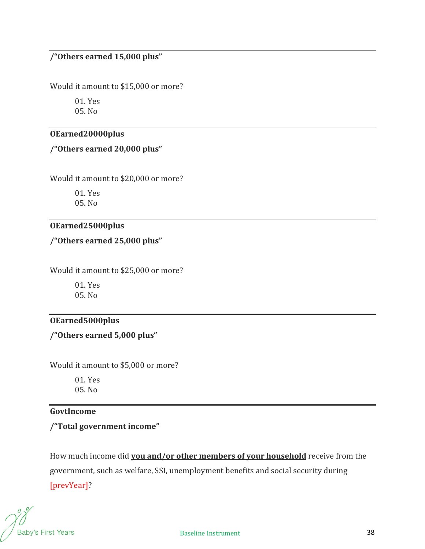# **/"Others earned 15,000 plus"**

Would it amount to \$15,000 or more?

01. Yes 05. No

#### **OEarned20000plus**

**/"Others earned 20,000 plus"**

Would it amount to \$20,000 or more?

01. Yes 05. No

## **OEarned25000plus**

**/"Others earned 25,000 plus"**

Would it amount to \$25,000 or more?

01. Yes 05. No

## **OEarned5000plus**

**/"Others earned 5,000 plus"**

Would it amount to \$5,000 or more?

01. Yes 05. No

#### **GovtIncome**

#### **/"Total government income"**

How much income did **you and/or other members of your household** receive from the government, such as welfare, SSI, unemployment benefits and social security during [prevYear]?

Baby's First Years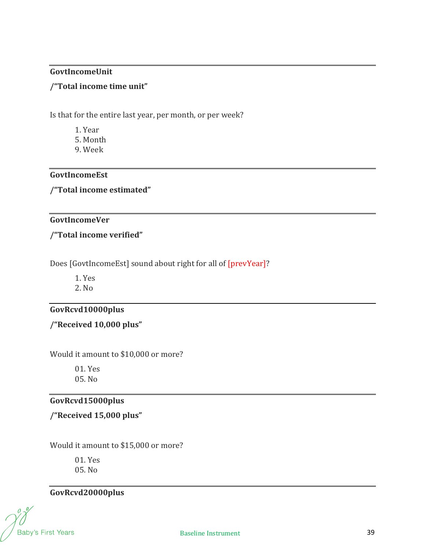#### **GovtIncomeUnit**

#### **/"Total income time unit"**

Is that for the entire last year, per month, or per week?

- 1. Year
- 5. Month
- 9. Week

#### **GovtIncomeEst**

**/"Total income estimated"**

#### **GovtIncomeVer**

**/"Total income verified"**

Does [GovtIncomeEst] sound about right for all of [prevYear]?

1. Yes

2. No

## **GovRcvd10000plus**

**/"Received 10,000 plus"**

Would it amount to \$10,000 or more?

01. Yes 05. No

# **GovRcvd15000plus**

**/"Received 15,000 plus"**

Would it amount to \$15,000 or more?

01. Yes 05. No

# **GovRcvd20000plus**

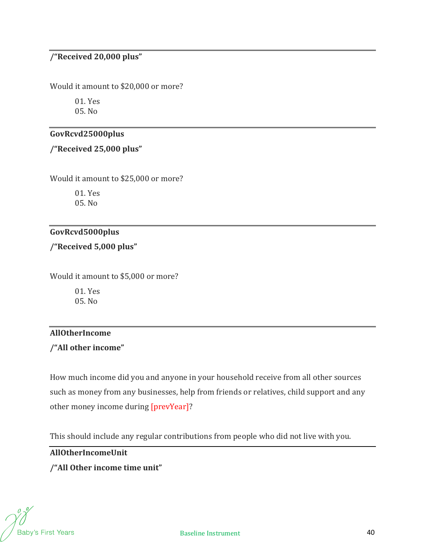# **/"Received 20,000 plus"**

Would it amount to \$20,000 or more?

01. Yes 05. No

#### **GovRcvd25000plus**

**/"Received 25,000 plus"**

Would it amount to \$25,000 or more?

01. Yes 05. No

# **GovRcvd5000plus**

**/"Received 5,000 plus"**

Would it amount to \$5,000 or more?

01. Yes 05. No

# **AllOtherIncome**

**/"All other income"**

How much income did you and anyone in your household receive from all other sources such as money from any businesses, help from friends or relatives, child support and any other money income during [prevYear]?

This should include any regular contributions from people who did not live with you.

**AllOtherIncomeUnit**

## **/"All Other income time unit"**

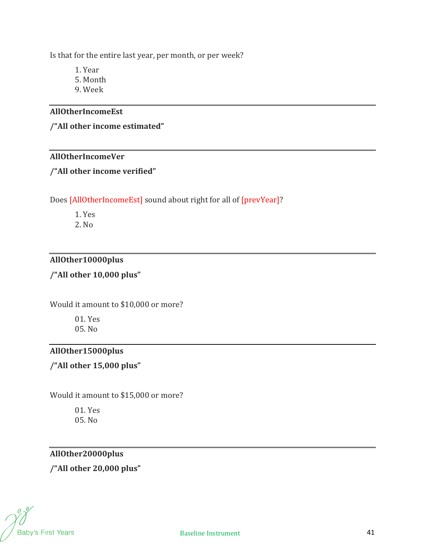Is that for the entire last year, per month, or per week?

1. Year

- 5. Month
- 9. Week

#### **AllOtherIncomeEst**

**/"All other income estimated"**

#### **AllOtherIncomeVer**

#### **/"All other income verified"**

## Does [AllOtherIncomeEst] sound about right for all of [prevYear]?

1. Yes

2. No

# **AllOther10000plus**

# **/"All other 10,000 plus"**

Would it amount to \$10,000 or more?

01. Yes 05. No

#### **AllOther15000plus**

# **/"All other 15,000 plus"**

Would it amount to \$15,000 or more?

01. Yes 05. No

# **AllOther20000plus**

**/"All other 20,000 plus"**

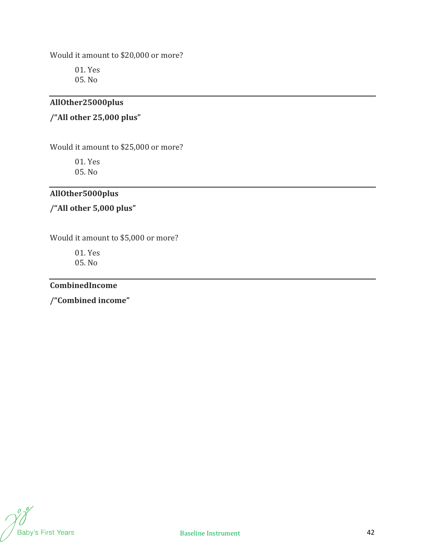Would it amount to \$20,000 or more?

01. Yes 05. No

# **AllOther25000plus**

# **/"All other 25,000 plus"**

Would it amount to \$25,000 or more?

01. Yes

05. No

# **AllOther5000plus**

**/"All other 5,000 plus"**

Would it amount to \$5,000 or more?

01. Yes 05. No

#### **CombinedIncome**

**/"Combined income"**

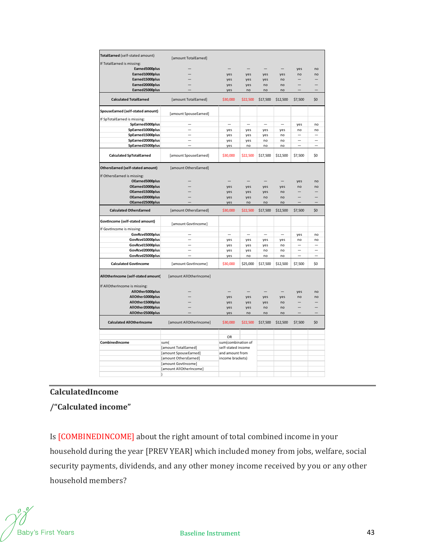| TotalEarned (self-stated amount)       |                          |                                                             |                          |                          |                          |                          |                |
|----------------------------------------|--------------------------|-------------------------------------------------------------|--------------------------|--------------------------|--------------------------|--------------------------|----------------|
| If TotalEarned is missing:             | [amount TotalEarned]     |                                                             |                          |                          |                          |                          |                |
| Earned5000plus                         |                          |                                                             |                          |                          |                          | yes                      | no             |
| Earned10000plus                        |                          | yes                                                         | yes                      | yes                      | yes                      | no                       | n <sub>0</sub> |
| Earned15000plus                        |                          | yes                                                         | yes                      | yes                      | no                       |                          |                |
| Earned20000plus                        |                          | yes                                                         | yes                      | no                       | no                       |                          |                |
| Earned25000plus                        |                          | yes                                                         | no                       | no                       | no                       | $\overline{\phantom{0}}$ |                |
| <b>Calculated TotalEarned</b>          | [amount TotalEarned]     | \$30,000                                                    | \$22,500                 | \$17,500                 | \$12,500                 | \$7,500                  | \$0            |
| SpouseEarned (self-stated amount)      | [amount SpouseEarned]    |                                                             |                          |                          |                          |                          |                |
| If SpTotalEarned is missing:           |                          |                                                             |                          |                          |                          |                          |                |
| SpEarned5000plus                       |                          | $\overline{\phantom{0}}$                                    | -                        | $\overline{\phantom{0}}$ | -                        | yes                      | no             |
| SpEarned10000plus                      |                          | yes                                                         | yes                      | yes                      | yes                      | no                       | no             |
| SpEarned15000plus                      |                          | yes                                                         | yes                      | yes                      | no                       |                          |                |
| SpEarned20000plus                      | $\equiv$                 | yes                                                         | yes                      | no                       | no                       | $\overline{\phantom{0}}$ | -              |
| SpEarned25000plus                      |                          | yes                                                         | no                       | no                       | no                       |                          |                |
| <b>Calculated SpTotalEarned</b>        | [amount SpouseEarned]    | \$30,000                                                    | \$22,500                 | \$17,500                 | \$12,500                 | \$7,500                  | \$0            |
| OthersEarned (self-stated amount)      | [amount OthersEarned]    |                                                             |                          |                          |                          |                          |                |
| If OthersEarned is missing:            |                          |                                                             |                          |                          |                          |                          |                |
| OEarned5000plus                        |                          |                                                             |                          |                          |                          | yes                      | no             |
| OEarned10000plus                       |                          | yes                                                         | yes                      | yes                      | yes                      | no                       | no             |
| OEarned15000plus                       |                          | yes                                                         | yes                      | yes                      | no                       |                          |                |
| OEarned20000plus                       |                          | yes                                                         | yes                      | no                       | n <sub>0</sub>           |                          |                |
| OEarned25000plus                       |                          | yes                                                         | no                       | no                       | no                       |                          |                |
| <b>Calculated OthersEarned</b>         | [amount OthersEarned]    | \$30,000                                                    | \$22,500                 | \$17,500                 | \$12,500                 | \$7,500                  | \$0            |
| GovtIncome (self-stated amount)        | [amount GovtIncome]      |                                                             |                          |                          |                          |                          |                |
| If GovtIncome is missing:              |                          |                                                             |                          |                          |                          |                          |                |
| GovRcvd5000plus                        | $\overline{\phantom{0}}$ | $\overline{\phantom{0}}$                                    | $\overline{\phantom{0}}$ | $\overline{\phantom{0}}$ | $\overline{\phantom{0}}$ | yes                      | no             |
| GovRcvd10000plus                       |                          | yes                                                         | yes                      | yes                      | yes                      | no                       | no             |
| GovRcvd15000plus                       |                          | yes                                                         | yes                      | yes                      | no                       |                          |                |
| GovRcvd20000plus<br>GovRcvd25000plus   |                          | yes                                                         | yes                      | no                       | no                       | -                        |                |
|                                        |                          | yes                                                         | no                       | no                       | no                       |                          |                |
| <b>Calculated GovtIncome</b>           | [amount GovtIncome]      | \$30,000                                                    | \$25,000                 | \$17,500                 | \$12,500                 | \$7,500                  | \$0            |
| AllOtherIncome (self-stated amount)    | [amount AllOtherIncome]  |                                                             |                          |                          |                          |                          |                |
| If AllOtherIncome is missing:          |                          |                                                             |                          |                          |                          |                          |                |
| AllOther5000plus                       |                          |                                                             |                          |                          |                          | yes                      | no             |
| AllOther10000plus                      |                          | yes                                                         | yes                      | yes                      | yes                      | no                       | no             |
| AllOther15000plus                      |                          | yes                                                         | yes                      | yes                      | no                       |                          |                |
| AllOther20000plus<br>AllOther25000plus |                          | yes                                                         | yes                      | no                       | no                       |                          |                |
|                                        |                          | yes                                                         | no                       | no                       | no                       |                          |                |
| <b>Calculated AllOtherIncome</b>       | [amount AllOtherIncome]  | \$30,000                                                    | \$22,500                 | \$17,500                 | \$12,500                 | \$7,500                  | \$0            |
|                                        |                          | <b>OR</b>                                                   |                          |                          |                          |                          |                |
| CombinedIncome                         | sum(                     | sum(combination of<br>self-stated income<br>and amount from |                          |                          |                          |                          |                |
|                                        | [amount TotalEarned]     |                                                             |                          |                          |                          |                          |                |
|                                        | [amount SpouseEarned]    |                                                             |                          |                          |                          |                          |                |
|                                        |                          | income brackets)                                            |                          |                          |                          |                          |                |
|                                        | [amount OthersEarned]    |                                                             |                          |                          |                          |                          |                |
|                                        | [amount GovtIncome]      |                                                             |                          |                          |                          |                          |                |
|                                        | [amount AllOtherIncome]  |                                                             |                          |                          |                          |                          |                |

## **CalculatedIncome**

**/"Calculated income"**

Is [COMBINEDINCOME] about the right amount of total combined income in your household during the year [PREV YEAR] which included money from jobs, welfare, social security payments, dividends, and any other money income received by you or any other household members?

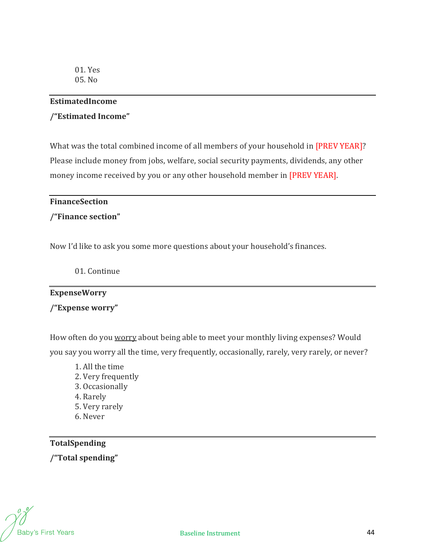#### **EstimatedIncome**

#### **/"Estimated Income"**

What was the total combined income of all members of your household in [PREV YEAR]? Please include money from jobs, welfare, social security payments, dividends, any other money income received by you or any other household member in [PREV YEAR].

#### **FinanceSection**

#### **/"Finance section"**

Now I'd like to ask you some more questions about your household's finances.

01. Continue

#### **ExpenseWorry**

**/"Expense worry"**

How often do you worry about being able to meet your monthly living expenses? Would you say you worry all the time, very frequently, occasionally, rarely, very rarely, or never?

1. All the time 2. Very frequently 3. Occasionally 4. Rarely 5. Very rarely 6. Never

**TotalSpending /"Total spending"**

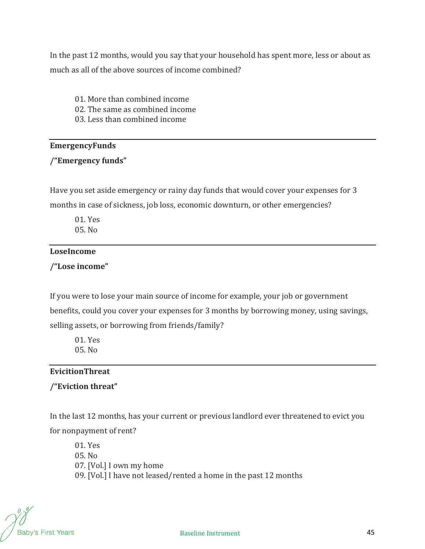In the past 12 months, would you say that your household has spent more, less or about as much as all of the above sources of income combined?

- 01. More than combined income
- 02. The same as combined income
- 03. Less than combined income

## **EmergencyFunds**

# **/"Emergency funds"**

Have you set aside emergency or rainy day funds that would cover your expenses for 3 months in case of sickness, job loss, economic downturn, or other emergencies?

01. Yes 05. No

## **LoseIncome**

**/"Lose income"**

If you were to lose your main source of income for example, your job or government benefits, could you cover your expenses for 3 months by borrowing money, using savings, selling assets, or borrowing from friends/family?

01. Yes 05. No

# **EvicitionThreat**

# **/"Eviction threat"**

In the last 12 months, has your current or previous landlord ever threatened to evict you for nonpayment of rent?

01. Yes 05. No 07. [Vol.] I own my home 09. [Vol.] I have not leased/rented a home in the past 12 months

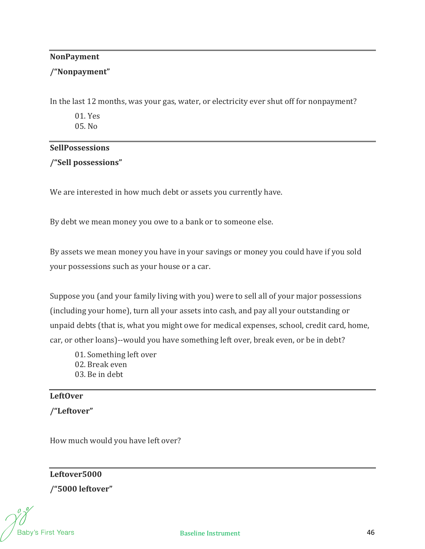#### **NonPayment**

#### **/"Nonpayment"**

In the last 12 months, was your gas, water, or electricity ever shut off for nonpayment?

01. Yes 05. No

#### **SellPossessions**

**/"Sell possessions"**

We are interested in how much debt or assets you currently have.

By debt we mean money you owe to a bank or to someone else.

By assets we mean money you have in your savings or money you could have if you sold your possessions such as your house or a car.

Suppose you (and your family living with you) were to sell all of your major possessions (including your home), turn all your assets into cash, and pay all your outstanding or unpaid debts (that is, what you might owe for medical expenses, school, credit card, home, car, or other loans)--would you have something left over, break even, or be in debt?

- 01. Something left over 02. Break even
- 03. Be in debt

# **LeftOver**

**/"Leftover"**

How much would you have left over?

**Leftover5000 /"5000 leftover"**

Baby's First Years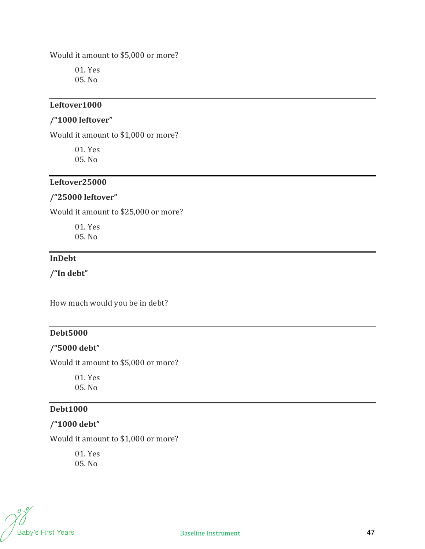Would it amount to \$5,000 or more?

01. Yes 05. No

#### **Leftover1000**

#### **/"1000 leftover"**

Would it amount to \$1,000 or more?

01. Yes 05. No

#### **Leftover25000**

#### **/"25000 leftover"**

Would it amount to \$25,000 or more?

01. Yes 05. No

# **InDebt**

**/"In debt"**

How much would you be in debt?

## **Debt5000**

#### **/"5000 debt"**

Would it amount to \$5,000 or more?

01. Yes 05. No

# **Debt1000**

# **/"1000 debt"**

Would it amount to \$1,000 or more?

01. Yes 05. No

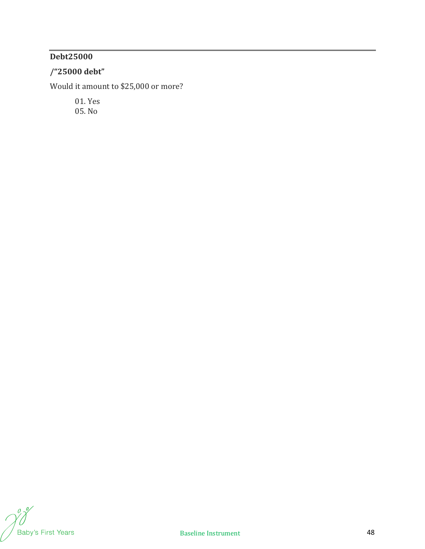# **Debt25000**

# **/"25000 debt"**

Would it amount to \$25,000 or more?

01. Yes 05. No

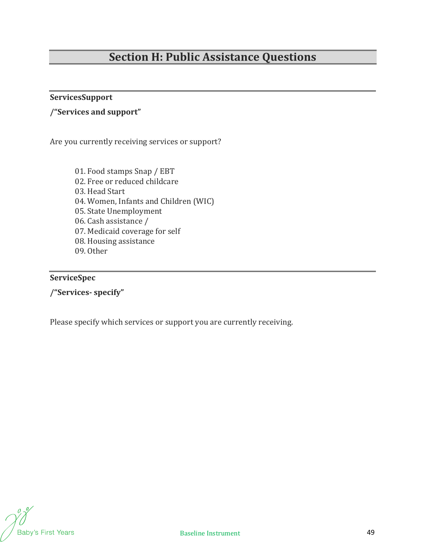# **Section H: Public Assistance Questions**

# **ServicesSupport**

# **/"Services and support"**

Are you currently receiving services or support?

01. Food stamps Snap / EBT 02. Free or reduced childcare 03. Head Start 04. Women, Infants and Children (WIC) 05. State Unemployment 06. Cash assistance / 07. Medicaid coverage for self 08. Housing assistance 09. Other

#### **ServiceSpec**

**/"Services‐ specify"**

Please specify which services or support you are currently receiving.

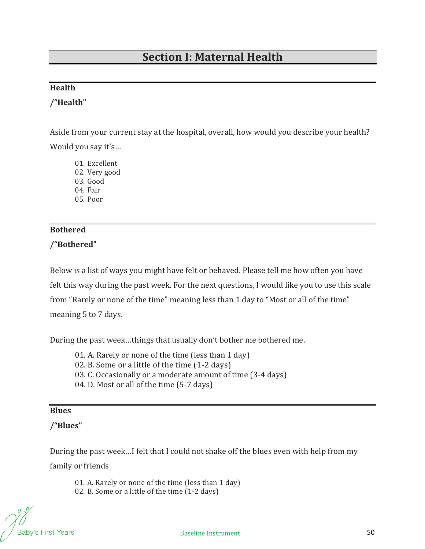# **Section I: Maternal Health**

## **Health**

## **/"Health"**

Aside from your current stay at the hospital, overall, how would you describe your health? Would you say it's…

01. Excellent 02. Very good 03. Good

04. Fair

05. Poor

# **Bothered**

## **/"Bothered"**

Below is a list of ways you might have felt or behaved. Please tell me how often you have felt this way during the past week. For the next questions, I would like you to use this scale from "Rarely or none of the time" meaning less than 1 day to "Most or all of the time" meaning 5 to 7 days.

During the past week…things that usually don't bother me bothered me.

- 01. A. Rarely or none of the time (less than 1 day)
- 02. B. Some or a little of the time (1-2 days)
- 03. C. Occasionally or a moderate amount of time (3-4 days)
- 04. D. Most or all of the time (5-7 days)

#### **Blues**

## **/"Blues"**

During the past week…I felt that I could not shake off the blues even with help from my family or friends

01. A. Rarely or none of the time (less than 1 day) 02. B. Some or a little of the time (1-2 days)

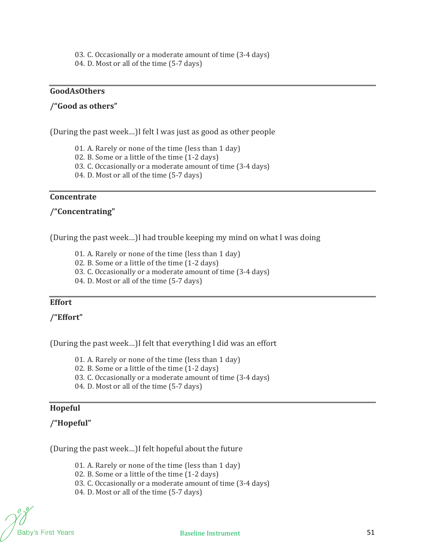03. C. Occasionally or a moderate amount of time (3-4 days)

04. D. Most or all of the time (5-7 days)

#### **GoodAsOthers**

#### **/"Good as others"**

(During the past week…)I felt I was just as good as other people

01. A. Rarely or none of the time (less than 1 day)

02. B. Some or a little of the time (1-2 days)

03. C. Occasionally or a moderate amount of time (3-4 days)

04. D. Most or all of the time (5-7 days)

#### **Concentrate**

#### **/"Concentrating"**

(During the past week…)I had trouble keeping my mind on what I was doing

01. A. Rarely or none of the time (less than 1 day)

02. B. Some or a little of the time (1-2 days)

03. C. Occasionally or a moderate amount of time (3-4 days)

04. D. Most or all of the time (5-7 days)

## **Effort**

**/"Effort"**

(During the past week…)I felt that everything I did was an effort

01. A. Rarely or none of the time (less than 1 day)

02. B. Some or a little of the time (1-2 days)

03. C. Occasionally or a moderate amount of time (3-4 days)

04. D. Most or all of the time (5-7 days)

#### **Hopeful**

## **/"Hopeful"**

(During the past week…)I felt hopeful about the future

01. A. Rarely or none of the time (less than 1 day)

- 02. B. Some or a little of the time (1-2 days)
- 03. C. Occasionally or a moderate amount of time (3-4 days)
- 04. D. Most or all of the time (5-7 days)

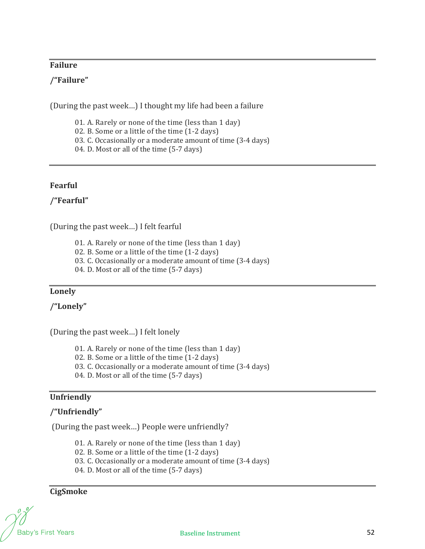## **Failure**

## **/"Failure"**

(During the past week…) I thought my life had been a failure

- 01. A. Rarely or none of the time (less than 1 day)
- 02. B. Some or a little of the time (1-2 days)
- 03. C. Occasionally or a moderate amount of time (3-4 days)
- 04. D. Most or all of the time (5-7 days)

## **Fearful**

**/"Fearful"**

(During the past week…) I felt fearful

- 01. A. Rarely or none of the time (less than 1 day)
- 02. B. Some or a little of the time (1-2 days)
- 03. C. Occasionally or a moderate amount of time (3-4 days)
- 04. D. Most or all of the time (5-7 days)

## **Lonely**

**/"Lonely"**

(During the past week…) I felt lonely

- 01. A. Rarely or none of the time (less than 1 day)
- 02. B. Some or a little of the time (1-2 days)
- 03. C. Occasionally or a moderate amount of time (3-4 days)
- 04. D. Most or all of the time (5-7 days)

## **Unfriendly**

## **/"Unfriendly"**

(During the past week…) People were unfriendly?

- 01. A. Rarely or none of the time (less than 1 day)
- 02. B. Some or a little of the time (1-2 days)
- 03. C. Occasionally or a moderate amount of time (3-4 days)
- 04. D. Most or all of the time (5-7 days)

**CigSmoke**

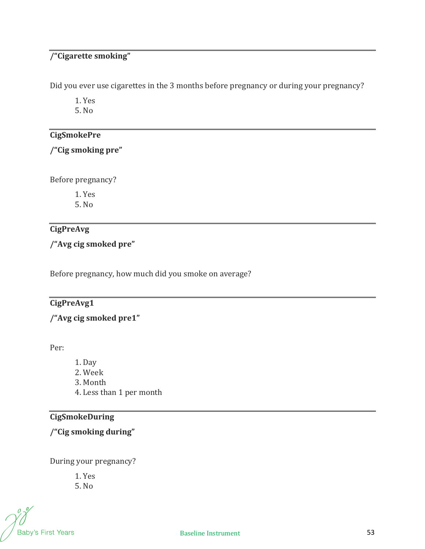# **/"Cigarette smoking"**

Did you ever use cigarettes in the 3 months before pregnancy or during your pregnancy?

1. Yes

5. No

# **CigSmokePre**

# **/"Cig smoking pre"**

Before pregnancy?

1. Yes

5. No

# **CigPreAvg**

# **/"Avg cig smoked pre"**

Before pregnancy, how much did you smoke on average?

# **CigPreAvg1**

# **/"Avg cig smoked pre1"**

Per:

- 1. Day
- 2. Week
- 3. Month
- 4. Less than 1 per month

# **CigSmokeDuring**

**/"Cig smoking during"**

During your pregnancy?

1. Yes 5. No

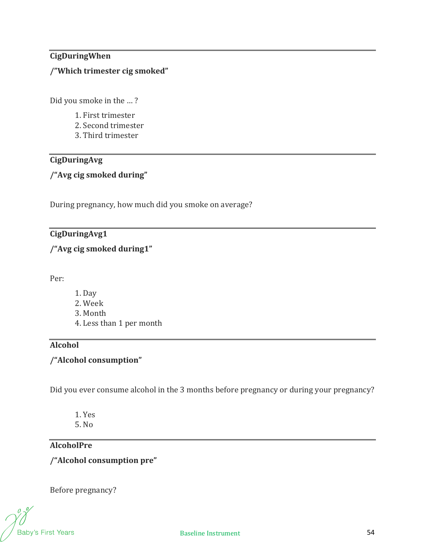# **CigDuringWhen**

# **/"Which trimester cig smoked"**

Did you smoke in the … ?

- 1. First trimester
- 2. Second trimester
- 3. Third trimester

# **CigDuringAvg**

## **/"Avg cig smoked during"**

During pregnancy, how much did you smoke on average?

# **CigDuringAvg1**

**/"Avg cig smoked during1"**

Per:

- 1. Day
- 2. Week
- 3. Month
- 4. Less than 1 per month

# **Alcohol**

# **/"Alcohol consumption"**

Did you ever consume alcohol in the 3 months before pregnancy or during your pregnancy?

- 1. Yes
- 5. No

# **AlcoholPre**

**/"Alcohol consumption pre"**

Before pregnancy?

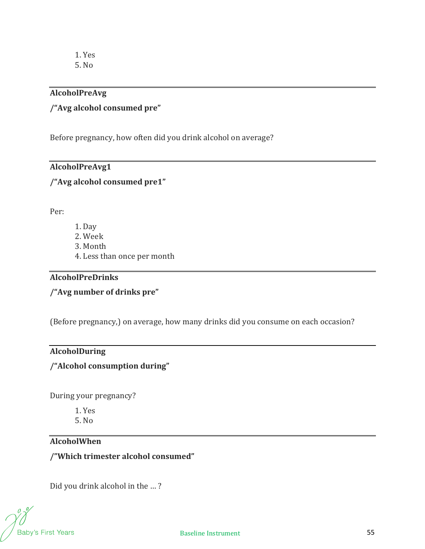## **AlcoholPreAvg**

# **/"Avg alcohol consumed pre"**

Before pregnancy, how often did you drink alcohol on average?

## **AlcoholPreAvg1**

## **/"Avg alcohol consumed pre1"**

Per:

- 1. Day
- 2. Week
- 3. Month
- 4. Less than once per month

#### **AlcoholPreDrinks**

**/"Avg number of drinks pre"**

(Before pregnancy,) on average, how many drinks did you consume on each occasion?

#### **AlcoholDuring**

# **/"Alcohol consumption during"**

During your pregnancy?

1. Yes 5. No

## **AlcoholWhen**

**/"Which trimester alcohol consumed"**

Did you drink alcohol in the … ?

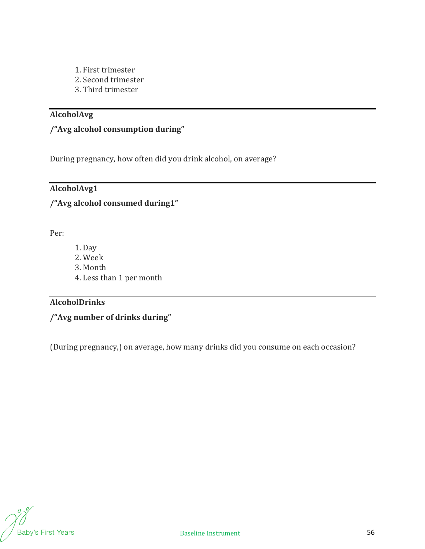- 1. First trimester
- 2. Second trimester
- 3. Third trimester

# **AlcoholAvg**

# **/"Avg alcohol consumption during"**

During pregnancy, how often did you drink alcohol, on average?

# **AlcoholAvg1**

# **/"Avg alcohol consumed during1"**

Per:

- 1. Day
- 2. Week
- 3. Month
- 4. Less than 1 per month

# **AlcoholDrinks**

**/"Avg number of drinks during"**

(During pregnancy,) on average, how many drinks did you consume on each occasion?

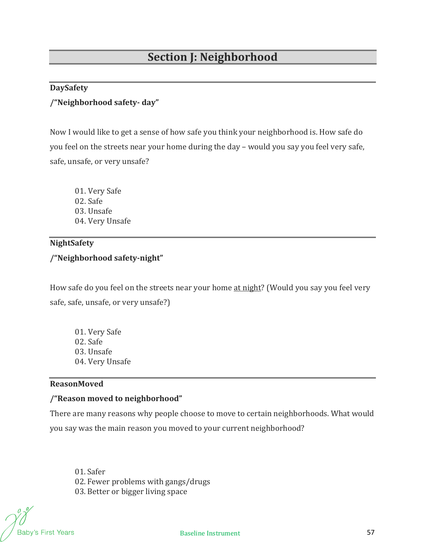#### **DaySafety**

#### **/"Neighborhood safety‐ day"**

Now I would like to get a sense of how safe you think your neighborhood is. How safe do you feel on the streets near your home during the day – would you say you feel very safe, safe, unsafe, or very unsafe?

01. Very Safe 02. Safe 03. Unsafe 04. Very Unsafe

#### **NightSafety**

## **/"Neighborhood safety‐night"**

How safe do you feel on the streets near your home at night? (Would you say you feel very safe, safe, unsafe, or very unsafe?)

01. Very Safe 02. Safe 03. Unsafe 04. Very Unsafe

# **ReasonMoved**

#### **/"Reason moved to neighborhood"**

There are many reasons why people choose to move to certain neighborhoods. What would you say was the main reason you moved to your current neighborhood?

01. Safer 02. Fewer problems with gangs/drugs 03. Better or bigger living space